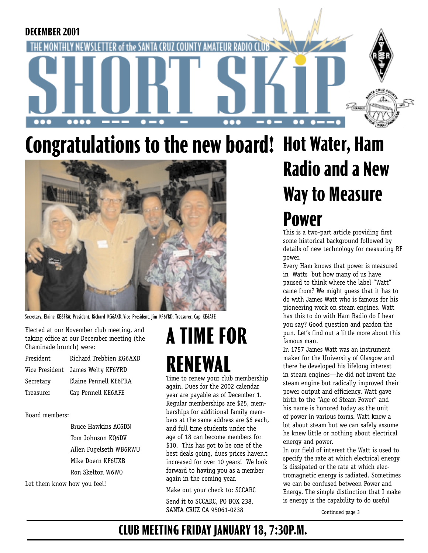

# **Congratulations to the new board! Hot Water, Ham**



Secretary, Elaine KE6FRA; President, Richard KG6AXD; Vice President, Jim KF6YRD; Treasurer, Cap KE6AFE

Elected at our November club meeting, and taking office at our December meeting (the Chaminade brunch) were:

| President | Richard Trebbien KG6AXD           |
|-----------|-----------------------------------|
|           | Vice President James Welty KF6YRD |
| Secretary | Elaine Pennell KE6FRA             |
| Treasurer | Cap Pennell KE6AFE                |

Board members:

 Bruce Hawkins AC6DN Tom Johnson KQ6DV Allen Fugelseth WB6RWU Mike Doern KF6UXB Ron Skelton W6WO

Let them know how you feel!

## **A TIME FOR RENEWAL**

Time to renew your club membership again. Dues for the 2002 calendar year are payable as of December 1. Regular memberships are \$25, memberships for additional family members at the same address are \$6 each, and full time students under the age of 18 can become members for \$10. This has got to be one of the best deals going, dues prices haven,t increased for over 10 years! We look forward to having you as a member again in the coming year.

Make out your check to: SCCARC

Send it to SCCARC, PO BOX 238, SANTA CRUZ CA 95061-0238

## **Radio and a New Way to Measure Power**

This is a two-part article providing first some historical background followed by details of new technology for measuring RF power.

Every Ham knows that power is measured in Watts but how many of us have paused to think where the label "Watt" came from? We might guess that it has to do with James Watt who is famous for his pioneering work on steam engines. Watt has this to do with Ham Radio do I hear you say? Good question and pardon the pun. Let's find out a little more about this famous man.

In 1757 James Watt was an instrument maker for the University of Glasgow and there he developed his lifelong interest in steam engines—he did not invent the steam engine but radically improved their power output and efficiency. Watt gave birth to the "Age of Steam Power" and his name is honored today as the unit of power in various forms. Watt knew a lot about steam but we can safely assume he knew little or nothing about electrical energy and power.

In our field of interest the Watt is used to specify the rate at which electrical energy is dissipated or the rate at which electromagnetic energy is radiated. Sometimes we can be confused between Power and Energy. The simple distinction that I make is energy is the capability to do useful

Continued page 3

### **CLUB MEETING FRIDAY JANUARY 18, 7:30P.M.**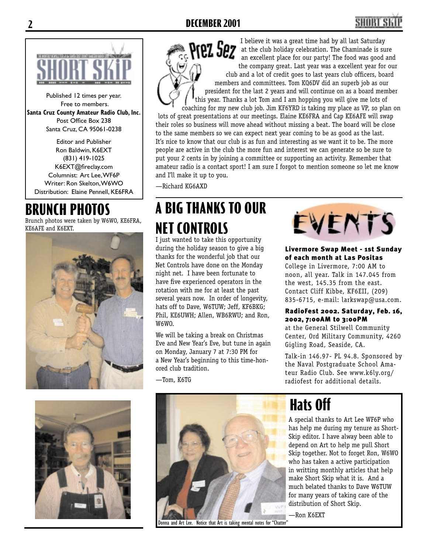#### **2 DECEMBER 2001**



Published 12 times per year. Free to members. **Santa Cruz County Amateur Radio Club, Inc.** Post Office Box 238 Santa Cruz, CA 95061-0238

Editor and Publisher Ron Baldwin, K6EXT (831) 419-1025 K6EXT@fireclay.com Columnist: Art Lee, WF6P Writer: Ron Skelton, W6WO Distribution: Elaine Pennell, KE6FRA

### **BRUNCH PHOTOS**

Brunch photos were taken by W6WO, KE6FRA, KE6AFE and K6EXT.





I believe it was a great time had by all last Saturday  $^{\circ\circ}$  Prez Sez at the club holiday celebration. The Chaminade is sure an excellent place for our party! The food was good and the company great. Last year was a excellent year for our club and a lot of credit goes to last years club officers, board members and committees. Tom KQ6DV did an superb job as our president for the last 2 years and will continue on as a board member this year. Thanks a lot Tom and I am hopping you will give me lots of coaching for my new club job. Jim KF6YRD is taking my place as VP, so plan on lots of great presentations at our meetings. Elaine KE6FRA and Cap KE6AFE will swap their roles so business will move ahead without missing a beat. The board will be close to the same members so we can expect next year coming to be as good as the last. It's nice to know that our club is as fun and interesting as we want it to be. The more people are active in the club the more fun and interest we can generate so be sure to put your 2 cents in by joining a committee or supporting an activity. Remember that

amateur radio is a contact sport! I am sure I forgot to mention someone so let me know

—Richard KG6AXD

and I'll make it up to you.

### **A BIG THANKS TO OUR NET CONTROLS**

I just wanted to take this opportunity during the holiday season to give a big thanks for the wonderful job that our Net Controls have done on the Monday night net. I have been fortunate to have five experienced operators in the rotation with me for at least the past several years now. In order of longevity, hats off to Dave, W6TUW; Jeff, KF6BKG; Phil, KE6UWH; Allen, WB6RWU; and Ron, W6WO.

We will be taking a break on Christmas Eve and New Year's Eve, but tune in again on Monday, January 7 at 7:30 PM for a New Year's beginning to this time-honored club tradition.

Donna and Art Lee. Notice that Art is taking mental notes for "Chatter"

—Tom, K6TG



#### Livermore Swap Meet - 1st Sunday of each month at Las Positas

College in Livermore, 7:00 AM to noon, all year. Talk in 147.045 from the west, 145.35 from the east. Contact Cliff Kibbe, KF6EII, (209) 835-6715, e-mail: larkswap@usa.com.

#### RadioFest 2002. Saturday, Feb. 16, 2002, 7:00AM to 3:00PM

at the General Stilwell Community Center, Ord Military Community, 4260 Gigling Road, Seaside, CA.

Talk-in 146.97- PL 94.8. Sponsored by the Naval Postgraduate School Amateur Radio Club. See www.k6ly.org/ radiofest for additional details.

## **Hats Off**

A special thanks to Art Lee WF6P who has help me during my tenure as Short-Skip editor. I have alway been able to depend on Art to help me pull Short Skip together. Not to forget Ron, W6WO who has taken a active participation in writting monthly articles that help make Short Skip what it is. And a much belated thanks to Dave W6TUW for many years of taking care of the distribution of Short Skip.

—Ron K6EXT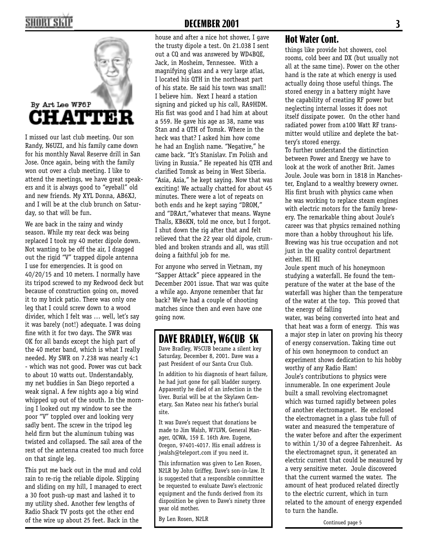### HORT SK



I missed our last club meeting. Our son Randy, N6UZI, and his family came down for his monthly Naval Reserve drill in San Jose. Once again, being with the family won out over a club meeting. I like to attend the meetings, we have great speakers and it is always good to "eyeball" old and new friends. My XYL Donna, AB6XJ, and I will be at the club brunch on Saturday, so that will be fun.

We are back in the rainy and windy season. While my rear deck was being replaced I took my 40 meter dipole down. Not wanting to be off the air, I dragged out the rigid "V" trapped dipole antenna I use for emergencies. It is good on 40/20/15 and 10 meters. I normally have its tripod screwed to my Redwood deck but because of construction going on, moved it to my brick patio. There was only one leg that I could screw down to a wood divider, which I felt was … well, let's say it was barely (not!) adequate. I was doing fine with it for two days. The SWR was OK for all bands except the high part of the 40 meter band, which is what I really needed. My SWR on 7.238 was nearly 4:1 - which was not good. Power was cut back to about 10 watts out. Understandably, my net buddies in San Diego reported a weak signal. A few nights ago a big wind whipped up out of the south. In the morning I looked out my window to see the poor "V" toppled over and looking very sadly bent. The screw in the tripod leg held firm but the aluminum tubing was twisted and collapsed. The sail area of the rest of the antenna created too much force on that single leg.

This put me back out in the mud and cold rain to re-rig the reliable dipole. Slipping and sliding on my hill, I managed to erect a 30 foot push-up mast and lashed it to my utility shed. Another few lengths of Radio Shack TV posts got the other end of the wire up about 25 feet. Back in the

house and after a nice hot shower, I gave the trusty dipole a test. On 21.038 I sent out a CQ and was answered by WD4BQE, Jack, in Mosheim, Tennessee. With a magnifying glass and a very large atlas, I located his QTH in the northeast part of his state. He said his town was small! I believe him. Next I heard a station signing and picked up his call, RA9HDM. His fist was good and I had him at about a 559. He gave his age as 38, name was Stan and a QTH of Tomsk. Where in the heck was that? I asked him how come he had an English name. "Negative," he came back. "It's Stanislav. I'm Polish and living in Russia." He repeated his QTH and clarified Tomsk as being in West Siberia. "Asia, Asia," he kept saying. Now that was exciting! We actually chatted for about 45 minutes. There were a lot of repeats on both ends and he kept saying "DROM," and "DRArt,"whatever that means. Wayne Thalls, KB6KN, told me once, but I forgot. I shut down the rig after that and felt relieved that the 22 year old dipole, crumbled and broken strands and all, was still doing a faithful job for me.

For anyone who served in Vietnam, my "Sapper Attack" piece appeared in the December 2001 issue. That war was quite a while ago. Anyone remember that far back? We've had a couple of shooting matches since then and even have one going now.

### **DAVE BRADLEY, W6CUB SK**

Dave Bradley, W5CUB became a silent key Saturday, December 8, 2001. Dave was a past President of our Santa Cruz Club.

In addition to his diagnosis of heart failure, he had just gone for gall bladder surgery. Apparently he died of an infection in the liver. Burial will be at the Skylawn Cemetary, San Mateo near his father's burial site.

It was Dave's request that donations be made to Jim Walsh, W7LVN, General Manager, QCWA, 159 E. 16th Ave. Eugene, Oregon, 97401-4017. His email address is jwalsh@teleport.com if you need it.

This information was given to Len Rosen, N2LR by John Griffey, Dave's son-in-law. It is suggested that a responsible committee be requested to evaluate Dave's electronic equipment and the funds derived from its disposition be given to Dave's ninety three year old mother.

By Len Rosen, N2LR

#### **Hot Water Cont.**

things like provide hot showers, cool rooms, cold beer and DX (but usually not all at the same time). Power on the other hand is the rate at which energy is used actually doing those useful things. The stored energy in a battery might have the capability of creating RF power but neglecting internal losses it does not itself dissipate power. On the other hand radiated power from a100 Watt RF transmitter would utilize and deplete the battery's stored energy.

To further understand the distinction between Power and Energy we have to look at the work of another Brit. James Joule. Joule was born in 1818 in Manchester, England to a wealthy brewery owner. His first brush with physics came when he was working to replace steam engines with electric motors for the family brewery. The remarkable thing about Joule's career was that physics remained nothing more than a hobby throughout his life. Brewing was his true occupation and not just in the quality control department either. HI HI

Joule spent much of his honeymoon studying a waterfall. He found the temperature of the water at the base of the waterfall was higher than the temperature of the water at the top. This proved that the energy of falling

water, was being converted into heat and that heat was a form of energy. This was a major step in later on proving his theory of energy conservation. Taking time out of his own honeymoon to conduct an experiment shows dedication to his hobby worthy of any Radio Ham!

Joule's contributions to physics were innumerable. In one experiment Joule built a small revolving electromagnet which was turned rapidly between poles of another electromagnet. He enclosed the electromagnet in a glass tube full of water and measured the temperature of the water before and after the experiment to within 1/30 of a degree Fahrenheit. As the electromagnet spun, it generated an electric current that could be measured by a very sensitive meter. Joule discovered that the current warmed the water. The amount of heat produced related directly to the electric current, which in turn related to the amount of energy expended to turn the handle.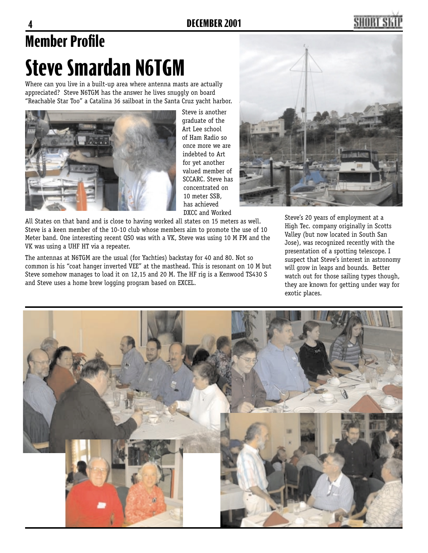## **Member Profile Steve Smardan N6TGM**

Where can you live in a built-up area where antenna masts are actually appreciated? Steve N6TGM has the answer he lives snuggly on board "Reachable Star Too" a Catalina 36 sailboat in the Santa Cruz yacht harbor.



Steve is another graduate of the Art Lee school of Ham Radio so once more we are indebted to Art for yet another valued member of SCCARC. Steve has concentrated on 10 meter SSB, has achieved DXCC and Worked

All States on that band and is close to having worked all states on 15 meters as well. Steve is a keen member of the 10-10 club whose members aim to promote the use of 10 Meter band. One interesting recent QSO was with a VK, Steve was using 10 M FM and the VK was using a UHF HT via a repeater.

The antennas at N6TGM are the usual (for Yachties) backstay for 40 and 80. Not so common is his "coat hanger inverted VEE" at the masthead. This is resonant on 10 M but Steve somehow manages to load it on 12,15 and 20 M. The HF rig is a Kenwood TS430 S and Steve uses a home brew logging program based on EXCEL.



Steve's 20 years of employment at a High Tec. company originally in Scotts Valley (but now located in South San Jose), was recognized recently with the presentation of a spotting telescope. I suspect that Steve's interest in astronomy will grow in leaps and bounds. Better watch out for those sailing types though, they are known for getting under way for exotic places.

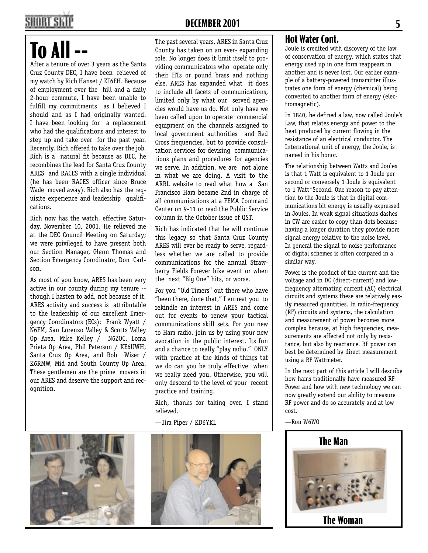### SHORT SK

## **To All**

After a tenure of over 3 years as the Santa Cruz County DEC, I have been relieved of my watch by Rich Hanset / KI6EH. Because of employment over the hill and a daily 2-hour commute, I have been unable to fulfill my commitments as I believed I should and as I had originally wanted. I have been looking for a replacement who had the qualifications and interest to step up and take over for the past year. Recently, Rich offered to take over the job. Rich is a natural fit because as DEC, he recombines the lead for Santa Cruz County ARES and RACES with a single individual (he has been RACES officer since Bruce Wade moved away). Rich also has the requisite experience and leadership qualifications.

Rich now has the watch, effective Saturday, November 10, 2001. He relieved me at the DEC Council Meeting on Saturday; we were privileged to have present both our Section Manager, Glenn Thomas and Section Emergency Coordinator, Don Carlson.

As most of you know, ARES has been very active in our county during my tenure - though I hasten to add, not because of it. ARES activity and success is attributable to the leadership of our excellent Emergency Coordinators (ECs): Frank Wyatt / N6FM, San Lorenzo Valley & Scotts Valley Op Area, Mike Kelley / N6ZOC, Loma Prieta Op Area, Phil Peterson / KE6UWH, Santa Cruz Op Area, and Bob Wiser / K6RMW, Mid and South County Op Area. These gentlemen are the prime movers in our ARES and deserve the support and recognition.

The past several years, ARES in Santa Cruz County has taken on an ever- expanding role. No longer does it limit itself to providing communicators who operate only their HTs or pound brass and nothing else. ARES has expanded what it does to include all facets of communications, limited only by what our served agencies would have us do. Not only have we been called upon to operate commercial equipment on the channels assigned to local government authorities and Red Cross frequencies, but to provide consultation services for devising communications plans and procedures for agencies we serve. In addition, we are not alone in what we are doing. A visit to the ARRL website to read what how a San Francisco Ham became 2nd in charge of all communications at a FEMA Command Center on 9-11 or read the Public Service column in the October issue of QST.

Rich has indicated that he will continue this legacy so that Santa Cruz County ARES will ever be ready to serve, regardless whether we are called to provide communications for the annual Strawberry Fields Forever bike event or when the next "Big One" hits, or worse.

For you "Old Timers" out there who have "been there, done that," I entreat you to rekindle an interest in ARES and come out for events to renew your tactical communications skill sets. For you new to Ham radio, join us by using your new avocation in the public interest. Its fun and a chance to really "play radio." ONLY with practice at the kinds of things tat we do can you be truly effective when we really need you. Otherwise, you will only descend to the level of your recent practice and training.

Rich, thanks for taking over. I stand relieved.

—Jim Piper / KD6YKL





#### **Hot Water Cont.**

Joule is credited with discovery of the law of conservation of energy, which states that energy used up in one form reappears in another and is never lost. Our earlier example of a battery-powered transmitter illustrates one form of energy (chemical) being converted to another form of energy (electromagnetic).

In 1840, he defined a law, now called Joule's Law, that relates energy and power to the heat produced by current flowing in the resistance of an electrical conductor. The International unit of energy, the Joule, is named in his honor.

The relationship between Watts and Joules is that 1 Watt is equivalent to 1 Joule per second or conversely 1 Joule is equivalent to 1 Watt\*Second. One reason to pay attention to the Joule is that in digital communications bit energy is usually expressed in Joules. In weak signal situations dashes in CW are easier to copy than dots because having a longer duration they provide more signal energy relative to the noise level. In general the signal to noise performance of digital schemes is often compared in a similar way.

Power is the product of the current and the voltage and in DC (direct-current) and lowfrequency alternating current (AC) electrical circuits and systems these are relatively easily measured quantities. In radio-frequency (RF) circuits and systems, the calculation and measurement of power becomes more complex because, at high frequencies, measurements are affected not only by resistance, but also by reactance. RF power can best be determined by direct measurement using a RF Wattmeter.

In the next part of this article I will describe how hams traditionally have measured RF Power and how with new technology we can now greatly extend our ability to measure RF power and do so accurately and at low cost.

—Ron W6WO